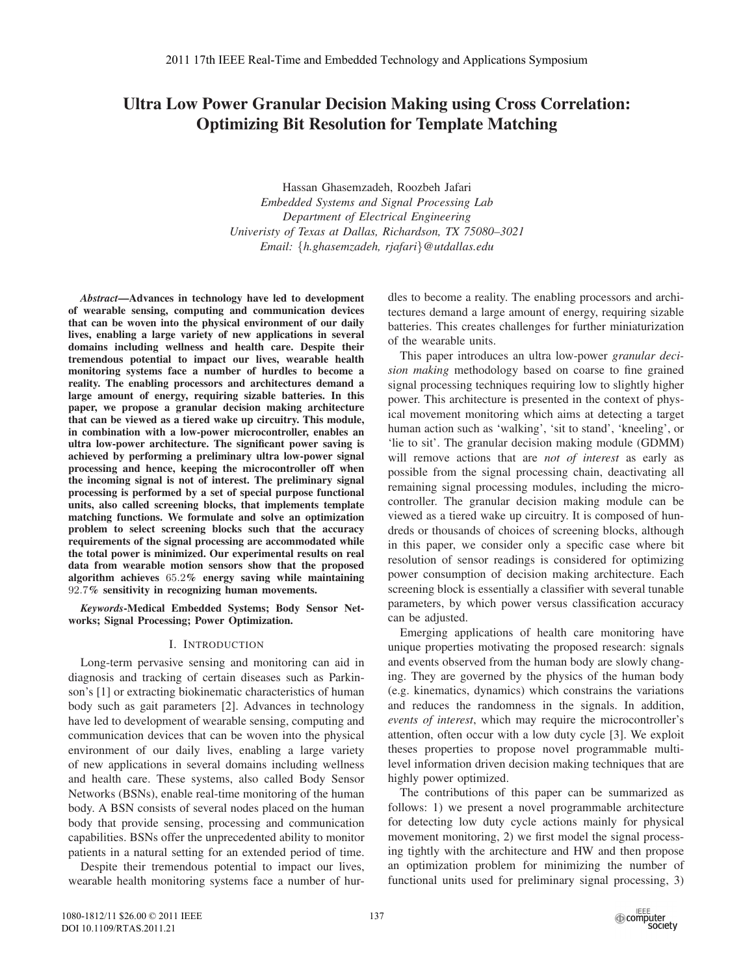# Ultra Low Power Granular Decision Making using Cross Correlation: Optimizing Bit Resolution for Template Matching

Hassan Ghasemzadeh, Roozbeh Jafari *Embedded Systems and Signal Processing Lab Department of Electrical Engineering Univeristy of Texas at Dallas, Richardson, TX 75080–3021 Email:* {*h.ghasemzadeh, rjafari*}*@utdallas.edu*

*Abstract*—Advances in technology have led to development of wearable sensing, computing and communication devices that can be woven into the physical environment of our daily lives, enabling a large variety of new applications in several domains including wellness and health care. Despite their tremendous potential to impact our lives, wearable health monitoring systems face a number of hurdles to become a reality. The enabling processors and architectures demand a large amount of energy, requiring sizable batteries. In this paper, we propose a granular decision making architecture that can be viewed as a tiered wake up circuitry. This module, in combination with a low-power microcontroller, enables an ultra low-power architecture. The significant power saving is achieved by performing a preliminary ultra low-power signal processing and hence, keeping the microcontroller off when the incoming signal is not of interest. The preliminary signal processing is performed by a set of special purpose functional units, also called screening blocks, that implements template matching functions. We formulate and solve an optimization problem to select screening blocks such that the accuracy requirements of the signal processing are accommodated while the total power is minimized. Our experimental results on real data from wearable motion sensors show that the proposed algorithm achieves 65.2% energy saving while maintaining 92.7% sensitivity in recognizing human movements.

*Keywords*-Medical Embedded Systems; Body Sensor Networks; Signal Processing; Power Optimization.

# I. INTRODUCTION

Long-term pervasive sensing and monitoring can aid in diagnosis and tracking of certain diseases such as Parkinson's [1] or extracting biokinematic characteristics of human body such as gait parameters [2]. Advances in technology have led to development of wearable sensing, computing and communication devices that can be woven into the physical environment of our daily lives, enabling a large variety of new applications in several domains including wellness and health care. These systems, also called Body Sensor Networks (BSNs), enable real-time monitoring of the human body. A BSN consists of several nodes placed on the human body that provide sensing, processing and communication capabilities. BSNs offer the unprecedented ability to monitor patients in a natural setting for an extended period of time.

Despite their tremendous potential to impact our lives, wearable health monitoring systems face a number of hurdles to become a reality. The enabling processors and architectures demand a large amount of energy, requiring sizable batteries. This creates challenges for further miniaturization of the wearable units.

This paper introduces an ultra low-power *granular decision making* methodology based on coarse to fine grained signal processing techniques requiring low to slightly higher power. This architecture is presented in the context of physical movement monitoring which aims at detecting a target human action such as 'walking', 'sit to stand', 'kneeling', or 'lie to sit'. The granular decision making module (GDMM) will remove actions that are *not of interest* as early as possible from the signal processing chain, deactivating all remaining signal processing modules, including the microcontroller. The granular decision making module can be viewed as a tiered wake up circuitry. It is composed of hundreds or thousands of choices of screening blocks, although in this paper, we consider only a specific case where bit resolution of sensor readings is considered for optimizing power consumption of decision making architecture. Each screening block is essentially a classifier with several tunable parameters, by which power versus classification accuracy can be adjusted.

Emerging applications of health care monitoring have unique properties motivating the proposed research: signals and events observed from the human body are slowly changing. They are governed by the physics of the human body (e.g. kinematics, dynamics) which constrains the variations and reduces the randomness in the signals. In addition, *events of interest*, which may require the microcontroller's attention, often occur with a low duty cycle [3]. We exploit theses properties to propose novel programmable multilevel information driven decision making techniques that are highly power optimized.

The contributions of this paper can be summarized as follows: 1) we present a novel programmable architecture for detecting low duty cycle actions mainly for physical movement monitoring, 2) we first model the signal processing tightly with the architecture and HW and then propose an optimization problem for minimizing the number of functional units used for preliminary signal processing, 3)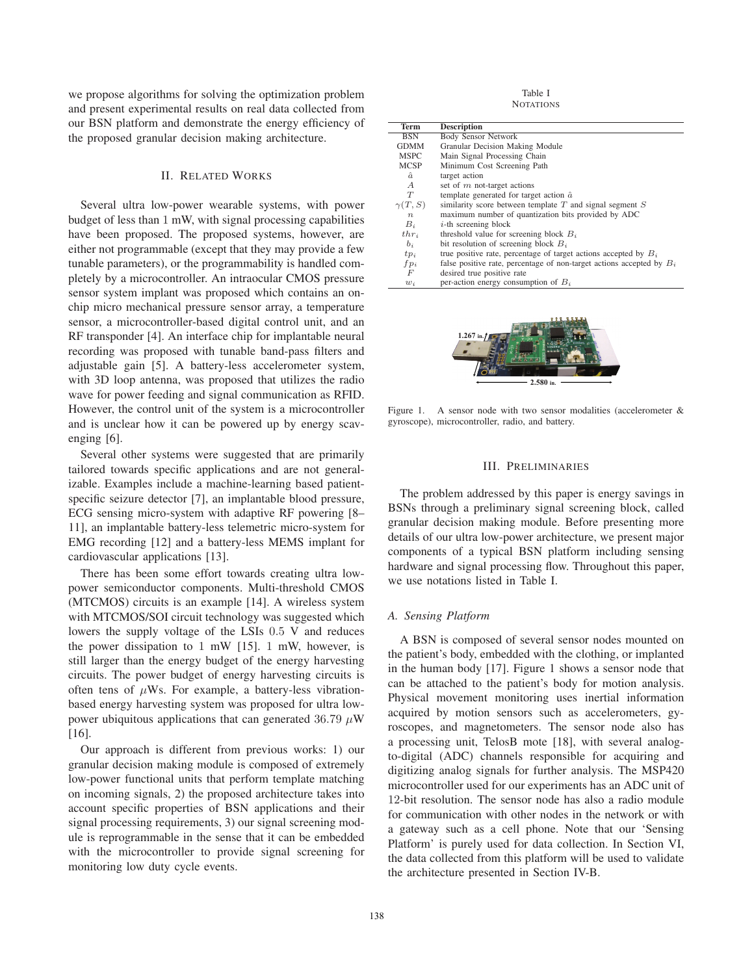we propose algorithms for solving the optimization problem and present experimental results on real data collected from our BSN platform and demonstrate the energy efficiency of the proposed granular decision making architecture.

# II. RELATED WORKS

Several ultra low-power wearable systems, with power budget of less than 1 mW, with signal processing capabilities have been proposed. The proposed systems, however, are either not programmable (except that they may provide a few tunable parameters), or the programmability is handled completely by a microcontroller. An intraocular CMOS pressure sensor system implant was proposed which contains an onchip micro mechanical pressure sensor array, a temperature sensor, a microcontroller-based digital control unit, and an RF transponder [4]. An interface chip for implantable neural recording was proposed with tunable band-pass filters and adjustable gain [5]. A battery-less accelerometer system, with 3D loop antenna, was proposed that utilizes the radio wave for power feeding and signal communication as RFID. However, the control unit of the system is a microcontroller and is unclear how it can be powered up by energy scavenging [6].

Several other systems were suggested that are primarily tailored towards specific applications and are not generalizable. Examples include a machine-learning based patientspecific seizure detector [7], an implantable blood pressure, ECG sensing micro-system with adaptive RF powering [8– 11], an implantable battery-less telemetric micro-system for EMG recording [12] and a battery-less MEMS implant for cardiovascular applications [13].

There has been some effort towards creating ultra lowpower semiconductor components. Multi-threshold CMOS (MTCMOS) circuits is an example [14]. A wireless system with MTCMOS/SOI circuit technology was suggested which lowers the supply voltage of the LSIs 0.5 V and reduces the power dissipation to 1 mW [15]. 1 mW, however, is still larger than the energy budget of the energy harvesting circuits. The power budget of energy harvesting circuits is often tens of  $\mu$ Ws. For example, a battery-less vibrationbased energy harvesting system was proposed for ultra lowpower ubiquitous applications that can generated 36.79  $\mu$ W [16].

Our approach is different from previous works: 1) our granular decision making module is composed of extremely low-power functional units that perform template matching on incoming signals, 2) the proposed architecture takes into account specific properties of BSN applications and their signal processing requirements, 3) our signal screening module is reprogrammable in the sense that it can be embedded with the microcontroller to provide signal screening for monitoring low duty cycle events.

Table I **NOTATIONS** 

| <b>Term</b>      | <b>Description</b>                                                      |
|------------------|-------------------------------------------------------------------------|
| <b>BSN</b>       | <b>Body Sensor Network</b>                                              |
| <b>GDMM</b>      | Granular Decision Making Module                                         |
| <b>MSPC</b>      | Main Signal Processing Chain                                            |
| <b>MCSP</b>      | Minimum Cost Screening Path                                             |
| â.               | target action                                                           |
| $\overline{A}$   | set of $m$ not-target actions                                           |
| T                | template generated for target action $\hat{a}$                          |
| $\gamma(T, S)$   | similarity score between template $T$ and signal segment $S$            |
| $\boldsymbol{n}$ | maximum number of quantization bits provided by ADC                     |
| $B_i$            | $i$ -th screening block                                                 |
| $thr_i$          | threshold value for screening block $B_i$                               |
| $b_i$            | bit resolution of screening block $B_i$                                 |
| $tp_i$           | true positive rate, percentage of target actions accepted by $B_i$      |
| $f p_i$          | false positive rate, percentage of non-target actions accepted by $B_i$ |
| $\overline{F}$   | desired true positive rate                                              |
| $w_i$            | per-action energy consumption of $B_i$                                  |



Figure 1. A sensor node with two sensor modalities (accelerometer & gyroscope), microcontroller, radio, and battery.

#### III. PRELIMINARIES

The problem addressed by this paper is energy savings in BSNs through a preliminary signal screening block, called granular decision making module. Before presenting more details of our ultra low-power architecture, we present major components of a typical BSN platform including sensing hardware and signal processing flow. Throughout this paper, we use notations listed in Table I.

#### *A. Sensing Platform*

A BSN is composed of several sensor nodes mounted on the patient's body, embedded with the clothing, or implanted in the human body [17]. Figure 1 shows a sensor node that can be attached to the patient's body for motion analysis. Physical movement monitoring uses inertial information acquired by motion sensors such as accelerometers, gyroscopes, and magnetometers. The sensor node also has a processing unit, TelosB mote [18], with several analogto-digital (ADC) channels responsible for acquiring and digitizing analog signals for further analysis. The MSP420 microcontroller used for our experiments has an ADC unit of 12-bit resolution. The sensor node has also a radio module for communication with other nodes in the network or with a gateway such as a cell phone. Note that our 'Sensing Platform' is purely used for data collection. In Section VI, the data collected from this platform will be used to validate the architecture presented in Section IV-B.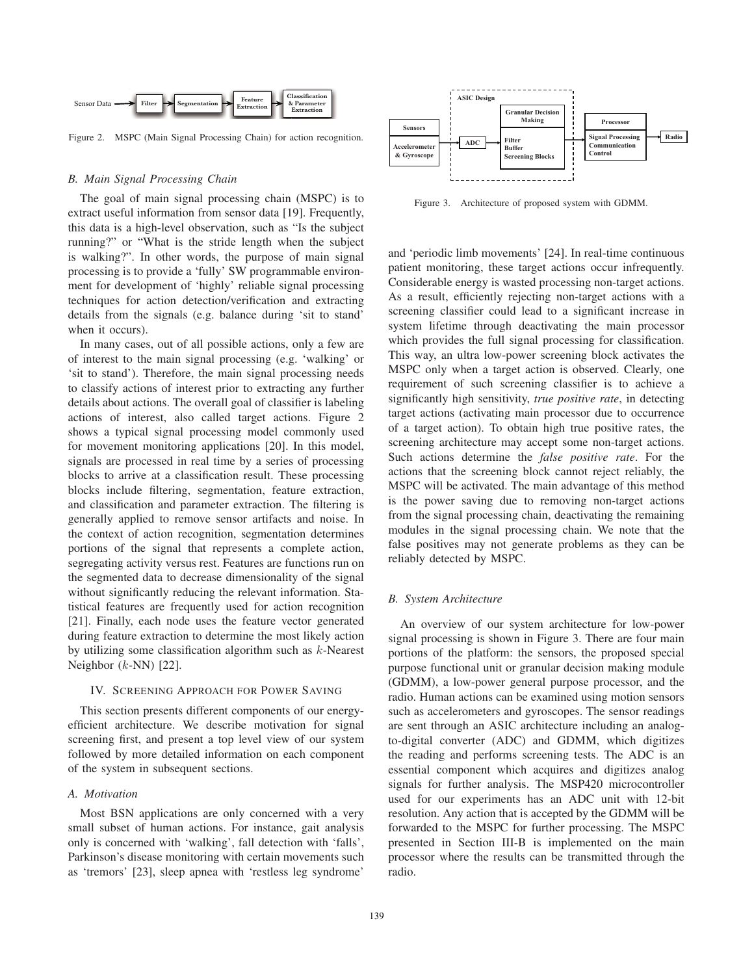

Figure 2. MSPC (Main Signal Processing Chain) for action recognition.

#### *B. Main Signal Processing Chain*

The goal of main signal processing chain (MSPC) is to extract useful information from sensor data [19]. Frequently, this data is a high-level observation, such as "Is the subject running?" or "What is the stride length when the subject is walking?". In other words, the purpose of main signal processing is to provide a 'fully' SW programmable environment for development of 'highly' reliable signal processing techniques for action detection/verification and extracting details from the signals (e.g. balance during 'sit to stand' when it occurs).

In many cases, out of all possible actions, only a few are of interest to the main signal processing (e.g. 'walking' or 'sit to stand'). Therefore, the main signal processing needs to classify actions of interest prior to extracting any further details about actions. The overall goal of classifier is labeling actions of interest, also called target actions. Figure 2 shows a typical signal processing model commonly used for movement monitoring applications [20]. In this model, signals are processed in real time by a series of processing blocks to arrive at a classification result. These processing blocks include filtering, segmentation, feature extraction, and classification and parameter extraction. The filtering is generally applied to remove sensor artifacts and noise. In the context of action recognition, segmentation determines portions of the signal that represents a complete action, segregating activity versus rest. Features are functions run on the segmented data to decrease dimensionality of the signal without significantly reducing the relevant information. Statistical features are frequently used for action recognition [21]. Finally, each node uses the feature vector generated during feature extraction to determine the most likely action by utilizing some classification algorithm such as  $k$ -Nearest Neighbor  $(k-NN)$  [22].

# IV. SCREENING APPROACH FOR POWER SAVING

This section presents different components of our energyefficient architecture. We describe motivation for signal screening first, and present a top level view of our system followed by more detailed information on each component of the system in subsequent sections.

# *A. Motivation*

Most BSN applications are only concerned with a very small subset of human actions. For instance, gait analysis only is concerned with 'walking', fall detection with 'falls', Parkinson's disease monitoring with certain movements such as 'tremors' [23], sleep apnea with 'restless leg syndrome'



Figure 3. Architecture of proposed system with GDMM.

and 'periodic limb movements' [24]. In real-time continuous patient monitoring, these target actions occur infrequently. Considerable energy is wasted processing non-target actions. As a result, efficiently rejecting non-target actions with a screening classifier could lead to a significant increase in system lifetime through deactivating the main processor which provides the full signal processing for classification. This way, an ultra low-power screening block activates the MSPC only when a target action is observed. Clearly, one requirement of such screening classifier is to achieve a significantly high sensitivity, *true positive rate*, in detecting target actions (activating main processor due to occurrence of a target action). To obtain high true positive rates, the screening architecture may accept some non-target actions. Such actions determine the *false positive rate*. For the actions that the screening block cannot reject reliably, the MSPC will be activated. The main advantage of this method is the power saving due to removing non-target actions from the signal processing chain, deactivating the remaining modules in the signal processing chain. We note that the false positives may not generate problems as they can be reliably detected by MSPC.

#### *B. System Architecture*

An overview of our system architecture for low-power signal processing is shown in Figure 3. There are four main portions of the platform: the sensors, the proposed special purpose functional unit or granular decision making module (GDMM), a low-power general purpose processor, and the radio. Human actions can be examined using motion sensors such as accelerometers and gyroscopes. The sensor readings are sent through an ASIC architecture including an analogto-digital converter (ADC) and GDMM, which digitizes the reading and performs screening tests. The ADC is an essential component which acquires and digitizes analog signals for further analysis. The MSP420 microcontroller used for our experiments has an ADC unit with 12-bit resolution. Any action that is accepted by the GDMM will be forwarded to the MSPC for further processing. The MSPC presented in Section III-B is implemented on the main processor where the results can be transmitted through the radio.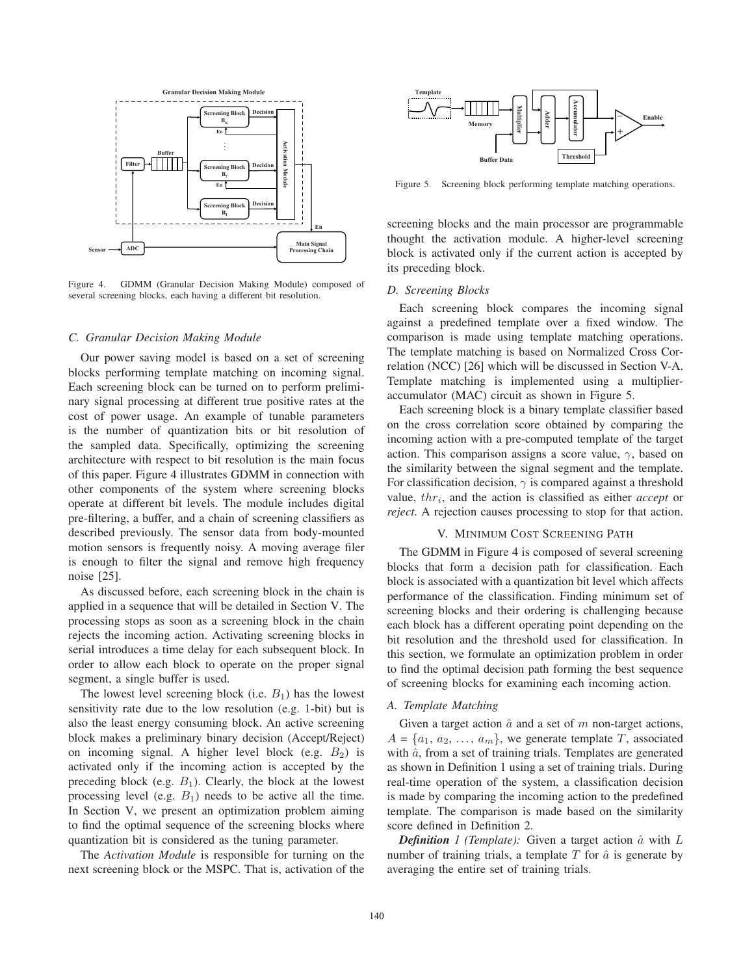

Figure 4. GDMM (Granular Decision Making Module) composed of several screening blocks, each having a different bit resolution.

#### *C. Granular Decision Making Module*

Our power saving model is based on a set of screening blocks performing template matching on incoming signal. Each screening block can be turned on to perform preliminary signal processing at different true positive rates at the cost of power usage. An example of tunable parameters is the number of quantization bits or bit resolution of the sampled data. Specifically, optimizing the screening architecture with respect to bit resolution is the main focus of this paper. Figure 4 illustrates GDMM in connection with other components of the system where screening blocks operate at different bit levels. The module includes digital pre-filtering, a buffer, and a chain of screening classifiers as described previously. The sensor data from body-mounted motion sensors is frequently noisy. A moving average filer is enough to filter the signal and remove high frequency noise [25].

As discussed before, each screening block in the chain is applied in a sequence that will be detailed in Section V. The processing stops as soon as a screening block in the chain rejects the incoming action. Activating screening blocks in serial introduces a time delay for each subsequent block. In order to allow each block to operate on the proper signal segment, a single buffer is used.

The lowest level screening block (i.e.  $B_1$ ) has the lowest sensitivity rate due to the low resolution (e.g. 1-bit) but is also the least energy consuming block. An active screening block makes a preliminary binary decision (Accept/Reject) on incoming signal. A higher level block (e.g.  $B_2$ ) is activated only if the incoming action is accepted by the preceding block (e.g.  $B_1$ ). Clearly, the block at the lowest processing level (e.g.  $B_1$ ) needs to be active all the time. In Section V, we present an optimization problem aiming to find the optimal sequence of the screening blocks where quantization bit is considered as the tuning parameter.

The *Activation Module* is responsible for turning on the next screening block or the MSPC. That is, activation of the



Figure 5. Screening block performing template matching operations.

screening blocks and the main processor are programmable thought the activation module. A higher-level screening block is activated only if the current action is accepted by its preceding block.

# *D. Screening Blocks*

Each screening block compares the incoming signal against a predefined template over a fixed window. The comparison is made using template matching operations. The template matching is based on Normalized Cross Correlation (NCC) [26] which will be discussed in Section V-A. Template matching is implemented using a multiplieraccumulator (MAC) circuit as shown in Figure 5.

Each screening block is a binary template classifier based on the cross correlation score obtained by comparing the incoming action with a pre-computed template of the target action. This comparison assigns a score value,  $\gamma$ , based on the similarity between the signal segment and the template. For classification decision,  $\gamma$  is compared against a threshold value,  $thr_i$ , and the action is classified as either *accept* or *reject*. A rejection causes processing to stop for that action.

# V. MINIMUM COST SCREENING PATH

The GDMM in Figure 4 is composed of several screening blocks that form a decision path for classification. Each block is associated with a quantization bit level which affects performance of the classification. Finding minimum set of screening blocks and their ordering is challenging because each block has a different operating point depending on the bit resolution and the threshold used for classification. In this section, we formulate an optimization problem in order to find the optimal decision path forming the best sequence of screening blocks for examining each incoming action.

# *A. Template Matching*

Given a target action  $\hat{a}$  and a set of m non-target actions,  $A = \{a_1, a_2, \ldots, a_m\}$ , we generate template T, associated with  $\hat{a}$ , from a set of training trials. Templates are generated as shown in Definition 1 using a set of training trials. During real-time operation of the system, a classification decision is made by comparing the incoming action to the predefined template. The comparison is made based on the similarity score defined in Definition 2.

*Definition 1* (*Template*): Given a target action  $\hat{a}$  with  $L$ number of training trials, a template  $T$  for  $\hat{a}$  is generate by averaging the entire set of training trials.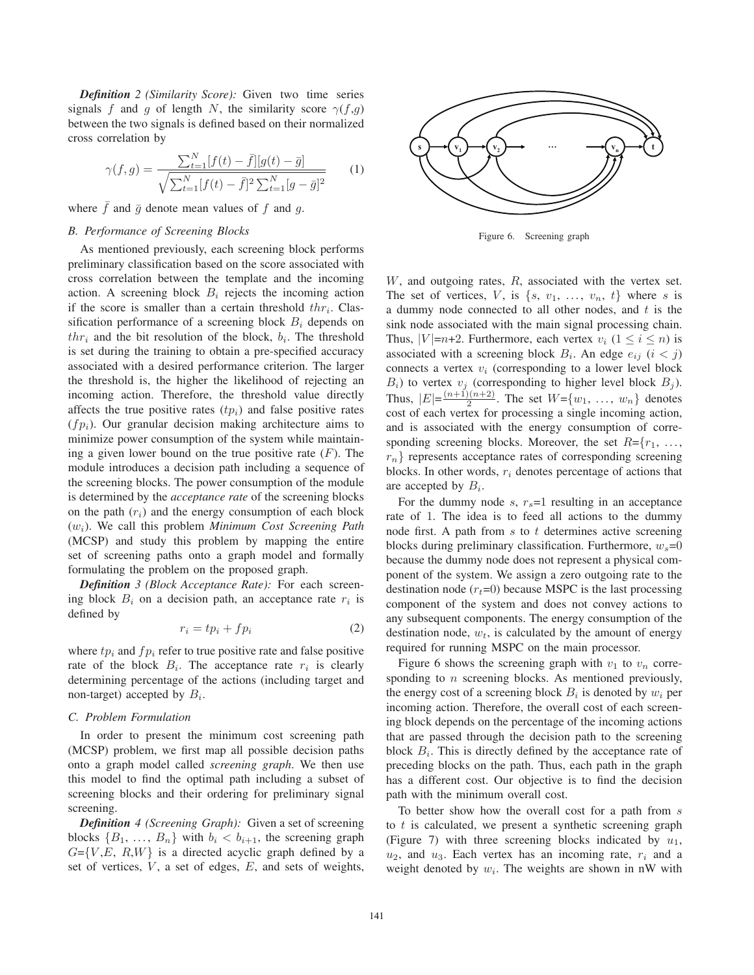*Definition 2 (Similarity Score):* Given two time series signals f and g of length N, the similarity score  $\gamma(f,g)$ between the two signals is defined based on their normalized cross correlation by

$$
\gamma(f,g) = \frac{\sum_{t=1}^{N} [f(t) - \bar{f}][g(t) - \bar{g}]}{\sqrt{\sum_{t=1}^{N} [f(t) - \bar{f}]^{2} \sum_{t=1}^{N} [g - \bar{g}]^{2}}}
$$
(1)

where  $\bar{f}$  and  $\bar{g}$  denote mean values of f and g.

# *B. Performance of Screening Blocks*

As mentioned previously, each screening block performs preliminary classification based on the score associated with cross correlation between the template and the incoming action. A screening block  $B_i$  rejects the incoming action if the score is smaller than a certain threshold  $thr_i$ . Classification performance of a screening block  $B_i$  depends on  $thr_i$  and the bit resolution of the block,  $b_i$ . The threshold is set during the training to obtain a pre-specified accuracy associated with a desired performance criterion. The larger the threshold is, the higher the likelihood of rejecting an incoming action. Therefore, the threshold value directly affects the true positive rates  $(tp<sub>i</sub>)$  and false positive rates  $(fp<sub>i</sub>)$ . Our granular decision making architecture aims to minimize power consumption of the system while maintaining a given lower bound on the true positive rate  $(F)$ . The module introduces a decision path including a sequence of the screening blocks. The power consumption of the module is determined by the *acceptance rate* of the screening blocks on the path  $(r<sub>i</sub>)$  and the energy consumption of each block (w<sup>i</sup>). We call this problem *Minimum Cost Screening Path* (MCSP) and study this problem by mapping the entire set of screening paths onto a graph model and formally formulating the problem on the proposed graph.

*Definition 3 (Block Acceptance Rate):* For each screening block  $B_i$  on a decision path, an acceptance rate  $r_i$  is defined by

$$
r_i = tp_i + fp_i \tag{2}
$$

where  $tp_i$  and  $fp_i$  refer to true positive rate and false positive rate of the block  $B_i$ . The acceptance rate  $r_i$  is clearly determining percentage of the actions (including target and non-target) accepted by  $B_i$ .

# *C. Problem Formulation*

In order to present the minimum cost screening path (MCSP) problem, we first map all possible decision paths onto a graph model called *screening graph*. We then use this model to find the optimal path including a subset of screening blocks and their ordering for preliminary signal screening.

*Definition 4 (Screening Graph):* Given a set of screening blocks  $\{B_1, \ldots, B_n\}$  with  $b_i < b_{i+1}$ , the screening graph  $G = \{V, E, R, W\}$  is a directed acyclic graph defined by a set of vertices,  $V$ , a set of edges,  $E$ , and sets of weights,



Figure 6. Screening graph

 $W$ , and outgoing rates,  $R$ , associated with the vertex set. The set of vertices, V, is  $\{s, v_1, \ldots, v_n, t\}$  where s is a dummy node connected to all other nodes, and  $t$  is the sink node associated with the main signal processing chain. Thus,  $|V|=n+2$ . Furthermore, each vertex  $v_i$   $(1 \le i \le n)$  is associated with a screening block  $B_i$ . An edge  $e_{ij}$  ( $i < j$ ) connects a vertex  $v_i$  (corresponding to a lower level block  $B_i$ ) to vertex  $v_j$  (corresponding to higher level block  $B_j$ ).<br>Thus,  $|E| = (n+1)(n+2)$ . The set  $W_{\tau}$  (with an analysis) denotes Thus,  $|E| = \frac{(n+1)(n+2)}{2}$ . The set  $W = \{w_1, \ldots, w_n\}$  denotes cost of each vertex for processing a single incoming action, and is associated with the energy consumption of corresponding screening blocks. Moreover, the set  $R = \{r_1, \ldots,$  $r_n$ } represents acceptance rates of corresponding screening blocks. In other words,  $r_i$  denotes percentage of actions that are accepted by  $B_i$ .

For the dummy node  $s, r<sub>s</sub>=1$  resulting in an acceptance rate of 1. The idea is to feed all actions to the dummy node first. A path from  $s$  to  $t$  determines active screening blocks during preliminary classification. Furthermore,  $w_s=0$ because the dummy node does not represent a physical component of the system. We assign a zero outgoing rate to the destination node  $(r_t=0)$  because MSPC is the last processing component of the system and does not convey actions to any subsequent components. The energy consumption of the destination node,  $w_t$ , is calculated by the amount of energy required for running MSPC on the main processor.

Figure 6 shows the screening graph with  $v_1$  to  $v_n$  corresponding to *n* screening blocks. As mentioned previously, the energy cost of a screening block  $B_i$  is denoted by  $w_i$  per incoming action. Therefore, the overall cost of each screening block depends on the percentage of the incoming actions that are passed through the decision path to the screening block  $B_i$ . This is directly defined by the acceptance rate of preceding blocks on the path. Thus, each path in the graph has a different cost. Our objective is to find the decision path with the minimum overall cost.

To better show how the overall cost for a path from s to  $t$  is calculated, we present a synthetic screening graph (Figure 7) with three screening blocks indicated by  $u_1$ ,  $u_2$ , and  $u_3$ . Each vertex has an incoming rate,  $r_i$  and a weight denoted by  $w_i$ . The weights are shown in nW with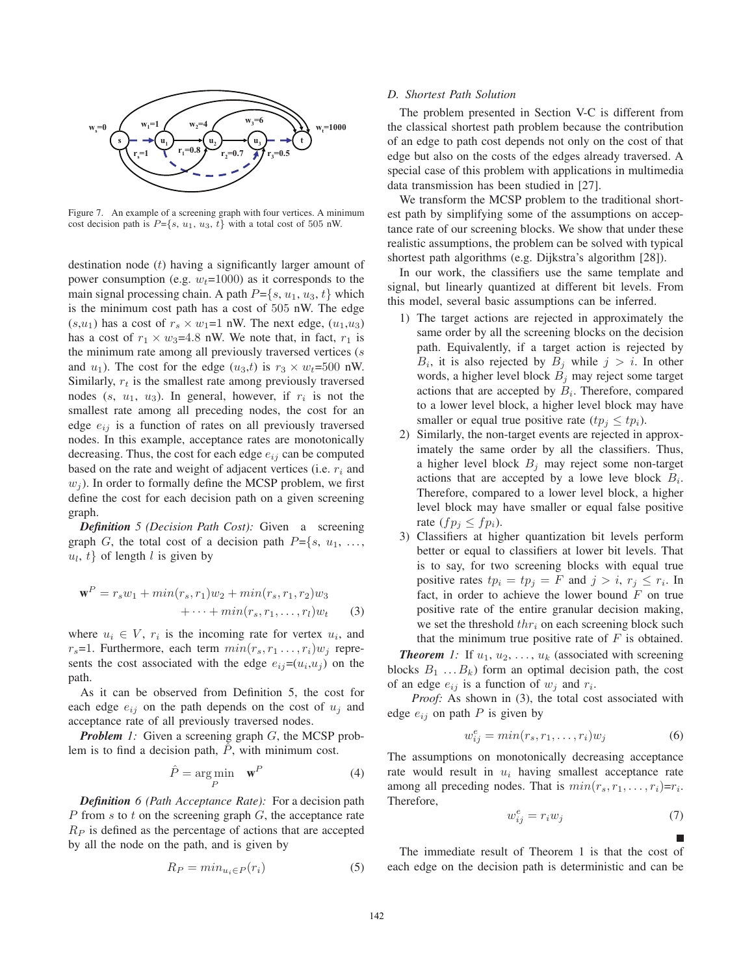

Figure 7. An example of a screening graph with four vertices. A minimum cost decision path is  $P = \{s, u_1, u_3, t\}$  with a total cost of 505 nW.

destination node  $(t)$  having a significantly larger amount of power consumption (e.g.  $w_t$ =1000) as it corresponds to the main signal processing chain. A path  $P=\{s, u_1, u_3, t\}$  which is the minimum cost path has a cost of 505 nW. The edge  $(s, u_1)$  has a cost of  $r_s \times w_1 = 1$  nW. The next edge,  $(u_1, u_3)$ has a cost of  $r_1 \times w_3 = 4.8$  nW. We note that, in fact,  $r_1$  is the minimum rate among all previously traversed vertices (s and  $u_1$ ). The cost for the edge  $(u_3,t)$  is  $r_3 \times w_t = 500$  nW. Similarly,  $r_t$  is the smallest rate among previously traversed nodes  $(s, u_1, u_3)$ . In general, however, if  $r_i$  is not the smallest rate among all preceding nodes, the cost for an edge  $e_{ij}$  is a function of rates on all previously traversed nodes. In this example, acceptance rates are monotonically decreasing. Thus, the cost for each edge  $e_{ij}$  can be computed based on the rate and weight of adjacent vertices (i.e.  $r_i$  and  $w_i$ ). In order to formally define the MCSP problem, we first define the cost for each decision path on a given screening graph.

*Definition 5 (Decision Path Cost):* Given a screening graph G, the total cost of a decision path  $P=\{s, u_1, \ldots,$  $u_l, t$  of length l is given by

$$
\mathbf{w}^{P} = r_{s}w_{1} + min(r_{s}, r_{1})w_{2} + min(r_{s}, r_{1}, r_{2})w_{3} + \cdots + min(r_{s}, r_{1}, \ldots, r_{l})w_{t}
$$
 (3)

where  $u_i \in V$ ,  $r_i$  is the incoming rate for vertex  $u_i$ , and  $r<sub>s</sub>=1$ . Furthermore, each term  $min(r<sub>s</sub>, r<sub>1</sub>,...,r<sub>i</sub>)w<sub>j</sub>$  represents the cost associated with the edge  $e_{ij}=(u_i,u_j)$  on the path.

As it can be observed from Definition 5, the cost for each edge  $e_{ij}$  on the path depends on the cost of  $u_i$  and acceptance rate of all previously traversed nodes.

*Problem 1:* Given a screening graph G, the MCSP problem is to find a decision path,  $\hat{P}$ , with minimum cost.

$$
\hat{P} = \underset{P}{\text{arg min}} \quad \mathbf{w}^P \tag{4}
$$

*Definition 6 (Path Acceptance Rate):* For a decision path  $P$  from  $s$  to  $t$  on the screening graph  $G$ , the acceptance rate  $R_P$  is defined as the percentage of actions that are accepted by all the node on the path, and is given by

$$
R_P = \min_{u_i \in P}(r_i) \tag{5}
$$

## *D. Shortest Path Solution*

The problem presented in Section V-C is different from the classical shortest path problem because the contribution of an edge to path cost depends not only on the cost of that edge but also on the costs of the edges already traversed. A special case of this problem with applications in multimedia data transmission has been studied in [27].

We transform the MCSP problem to the traditional shortest path by simplifying some of the assumptions on acceptance rate of our screening blocks. We show that under these realistic assumptions, the problem can be solved with typical shortest path algorithms (e.g. Dijkstra's algorithm [28]).

In our work, the classifiers use the same template and signal, but linearly quantized at different bit levels. From this model, several basic assumptions can be inferred.

- 1) The target actions are rejected in approximately the same order by all the screening blocks on the decision path. Equivalently, if a target action is rejected by  $B_i$ , it is also rejected by  $B_i$  while  $j>i$ . In other words, a higher level block  $B_i$  may reject some target actions that are accepted by  $B_i$ . Therefore, compared to a lower level block, a higher level block may have smaller or equal true positive rate  $(tp_j \leq tp_i)$ .
- 2) Similarly, the non-target events are rejected in approximately the same order by all the classifiers. Thus, a higher level block  $B_i$  may reject some non-target actions that are accepted by a lowe leve block  $B_i$ . Therefore, compared to a lower level block, a higher level block may have smaller or equal false positive rate  $(f p_j \leq f p_i)$ .
- 3) Classifiers at higher quantization bit levels perform better or equal to classifiers at lower bit levels. That is to say, for two screening blocks with equal true positive rates  $tp_i = tp_j = F$  and  $j > i$ ,  $r_j \leq r_i$ . In fact, in order to achieve the lower bound  $F$  on true positive rate of the entire granular decision making, we set the threshold  $thr<sub>i</sub>$  on each screening block such that the minimum true positive rate of  $F$  is obtained.

**Theorem** 1: If  $u_1, u_2, \ldots, u_k$  (associated with screening blocks  $B_1 \ldots B_k$ ) form an optimal decision path, the cost of an edge  $e_{ij}$  is a function of  $w_j$  and  $r_i$ .

*Proof:* As shown in (3), the total cost associated with edge  $e_{ij}$  on path P is given by

$$
w_{ij}^e = min(r_s, r_1, \dots, r_i) w_j \tag{6}
$$

The assumptions on monotonically decreasing acceptance rate would result in  $u_i$  having smallest acceptance rate among all preceding nodes. That is  $min(r_s, r_1, \ldots, r_i)=r_i$ . Therefore,

$$
w_{ij}^e = r_i w_j \tag{7}
$$

The immediate result of Theorem 1 is that the cost of each edge on the decision path is deterministic and can be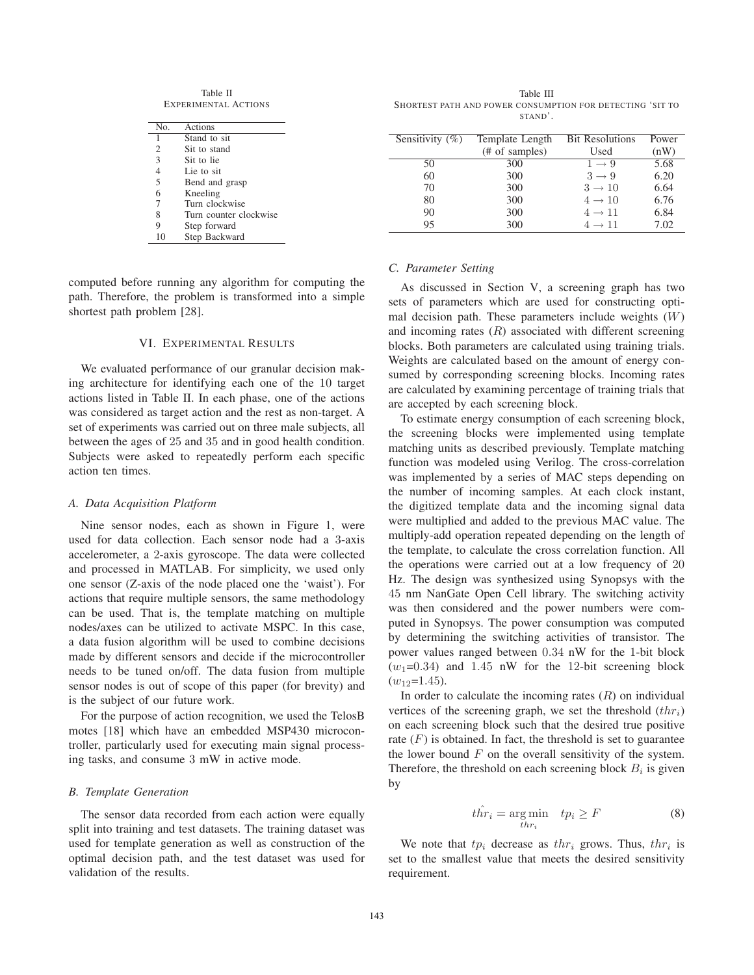Table II EXPERIMENTAL ACTIONS

| N <sub>0</sub> | Actions                |
|----------------|------------------------|
| 1              | Stand to sit           |
| 2              | Sit to stand           |
| 3              | Sit to lie             |
| $\overline{4}$ | Lie to sit.            |
| 5              | Bend and grasp         |
| 6              | Kneeling               |
| 7              | Turn clockwise         |
| 8              | Turn counter clockwise |
| 9              | Step forward           |
|                | Step Backward          |

computed before running any algorithm for computing the path. Therefore, the problem is transformed into a simple shortest path problem [28].

## VI. EXPERIMENTAL RESULTS

We evaluated performance of our granular decision making architecture for identifying each one of the 10 target actions listed in Table II. In each phase, one of the actions was considered as target action and the rest as non-target. A set of experiments was carried out on three male subjects, all between the ages of 25 and 35 and in good health condition. Subjects were asked to repeatedly perform each specific action ten times.

#### *A. Data Acquisition Platform*

Nine sensor nodes, each as shown in Figure 1, were used for data collection. Each sensor node had a 3-axis accelerometer, a 2-axis gyroscope. The data were collected and processed in MATLAB. For simplicity, we used only one sensor (Z-axis of the node placed one the 'waist'). For actions that require multiple sensors, the same methodology can be used. That is, the template matching on multiple nodes/axes can be utilized to activate MSPC. In this case, a data fusion algorithm will be used to combine decisions made by different sensors and decide if the microcontroller needs to be tuned on/off. The data fusion from multiple sensor nodes is out of scope of this paper (for brevity) and is the subject of our future work.

For the purpose of action recognition, we used the TelosB motes [18] which have an embedded MSP430 microcontroller, particularly used for executing main signal processing tasks, and consume 3 mW in active mode.

#### *B. Template Generation*

The sensor data recorded from each action were equally split into training and test datasets. The training dataset was used for template generation as well as construction of the optimal decision path, and the test dataset was used for validation of the results.

Table III SHORTEST PATH AND POWER CONSUMPTION FOR DETECTING 'SIT TO STAND'.

| Sensitivity $(\%)$ | Template Length<br>$(\# \text{ of samples})$ | <b>Bit Resolutions</b><br>Used | Power<br>(nW) |
|--------------------|----------------------------------------------|--------------------------------|---------------|
| 50                 | 300                                          | $1 \rightarrow 9$              | 5.68          |
| 60                 | 300                                          | $3 \rightarrow 9$              | 6.20          |
| 70                 | 300                                          | $3 \rightarrow 10$             | 6.64          |
| 80                 | 300                                          | $4 \rightarrow 10$             | 6.76          |
| 90                 | 300                                          | $4 \rightarrow 11$             | 6.84          |
| 95                 | 300                                          | $4 \rightarrow 11$             | 7.02          |

## *C. Parameter Setting*

As discussed in Section V, a screening graph has two sets of parameters which are used for constructing optimal decision path. These parameters include weights  $(W)$ and incoming rates  $(R)$  associated with different screening blocks. Both parameters are calculated using training trials. Weights are calculated based on the amount of energy consumed by corresponding screening blocks. Incoming rates are calculated by examining percentage of training trials that are accepted by each screening block.

To estimate energy consumption of each screening block, the screening blocks were implemented using template matching units as described previously. Template matching function was modeled using Verilog. The cross-correlation was implemented by a series of MAC steps depending on the number of incoming samples. At each clock instant, the digitized template data and the incoming signal data were multiplied and added to the previous MAC value. The multiply-add operation repeated depending on the length of the template, to calculate the cross correlation function. All the operations were carried out at a low frequency of 20 Hz. The design was synthesized using Synopsys with the 45 nm NanGate Open Cell library. The switching activity was then considered and the power numbers were computed in Synopsys. The power consumption was computed by determining the switching activities of transistor. The power values ranged between 0.34 nW for the 1-bit block  $(w_1=0.34)$  and 1.45 nW for the 12-bit screening block  $(w_{12}=1.45)$ .

In order to calculate the incoming rates  $(R)$  on individual vertices of the screening graph, we set the threshold  $(thr_i)$ on each screening block such that the desired true positive rate  $(F)$  is obtained. In fact, the threshold is set to guarantee the lower bound  $F$  on the overall sensitivity of the system. Therefore, the threshold on each screening block  $B_i$  is given by

$$
t\hat{h}\hat{r}_i = \underset{thr_i}{\text{arg min}} \quad tp_i \ge F \tag{8}
$$

We note that  $tp_i$  decrease as  $thr_i$  grows. Thus,  $thr_i$  is set to the smallest value that meets the desired sensitivity requirement.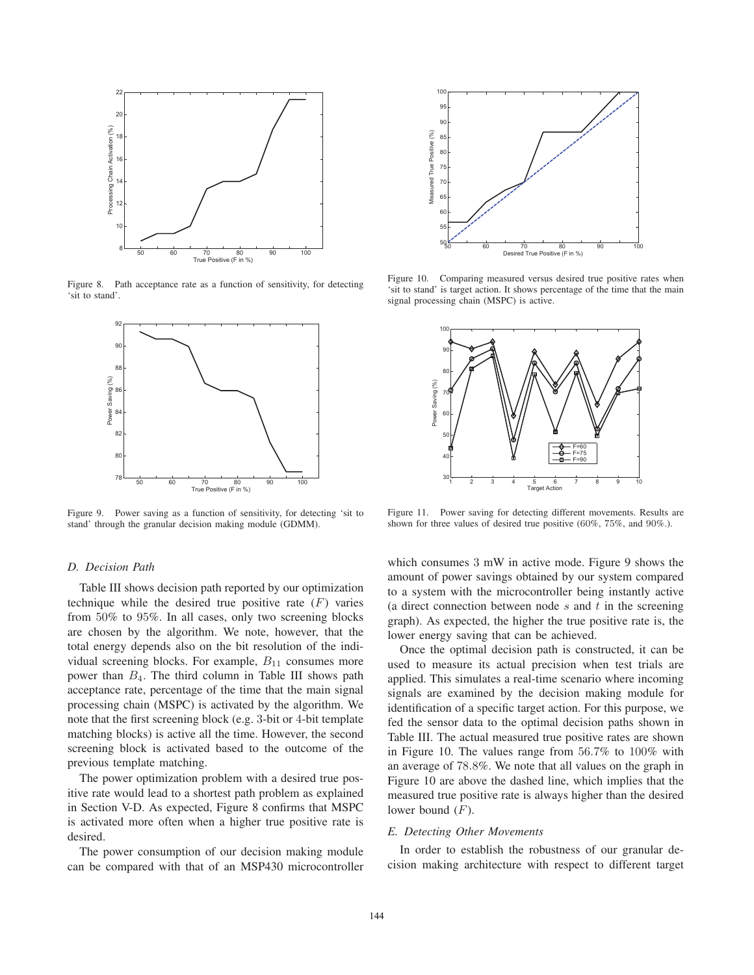

Figure 8. Path acceptance rate as a function of sensitivity, for detecting 'sit to stand'.



Figure 9. Power saving as a function of sensitivity, for detecting 'sit to stand' through the granular decision making module (GDMM).

#### *D. Decision Path*

Table III shows decision path reported by our optimization technique while the desired true positive rate  $(F)$  varies from 50% to 95%. In all cases, only two screening blocks are chosen by the algorithm. We note, however, that the total energy depends also on the bit resolution of the individual screening blocks. For example,  $B_{11}$  consumes more power than  $B_4$ . The third column in Table III shows path acceptance rate, percentage of the time that the main signal processing chain (MSPC) is activated by the algorithm. We note that the first screening block (e.g. 3-bit or 4-bit template matching blocks) is active all the time. However, the second screening block is activated based to the outcome of the previous template matching.

The power optimization problem with a desired true positive rate would lead to a shortest path problem as explained in Section V-D. As expected, Figure 8 confirms that MSPC is activated more often when a higher true positive rate is desired.

The power consumption of our decision making module can be compared with that of an MSP430 microcontroller



Figure 10. Comparing measured versus desired true positive rates when 'sit to stand' is target action. It shows percentage of the time that the main signal processing chain (MSPC) is active.



Figure 11. Power saving for detecting different movements. Results are shown for three values of desired true positive (60%, 75%, and 90%.).

which consumes 3 mW in active mode. Figure 9 shows the amount of power savings obtained by our system compared to a system with the microcontroller being instantly active (a direct connection between node  $s$  and  $t$  in the screening graph). As expected, the higher the true positive rate is, the lower energy saving that can be achieved.

Once the optimal decision path is constructed, it can be used to measure its actual precision when test trials are applied. This simulates a real-time scenario where incoming signals are examined by the decision making module for identification of a specific target action. For this purpose, we fed the sensor data to the optimal decision paths shown in Table III. The actual measured true positive rates are shown in Figure 10. The values range from 56.7% to 100% with an average of 78.8%. We note that all values on the graph in Figure 10 are above the dashed line, which implies that the measured true positive rate is always higher than the desired lower bound  $(F)$ .

#### *E. Detecting Other Movements*

In order to establish the robustness of our granular decision making architecture with respect to different target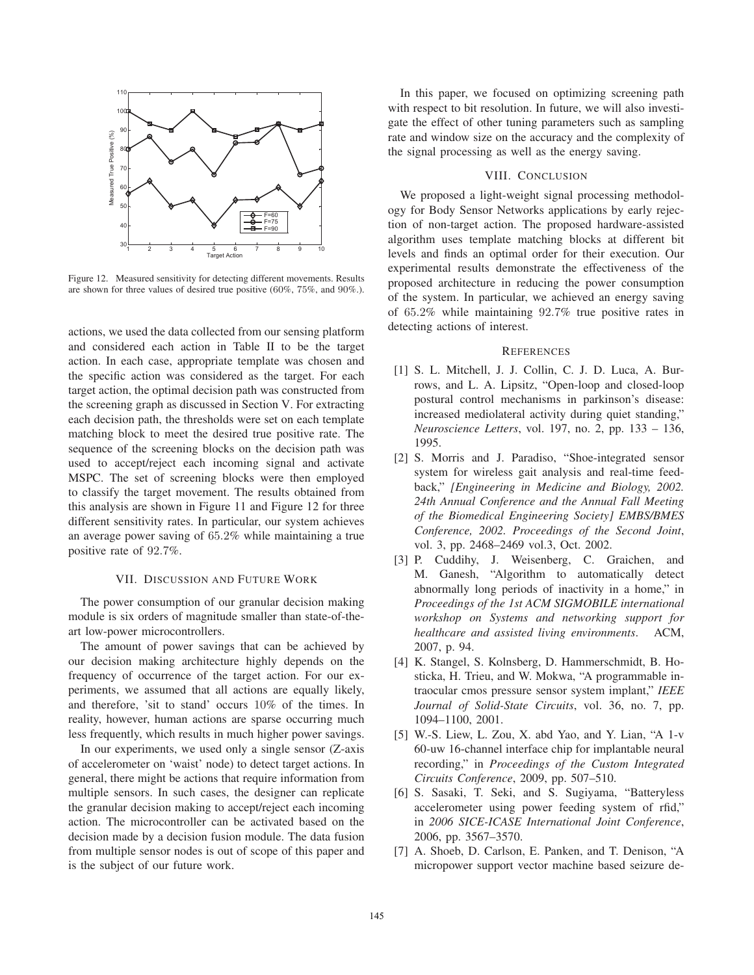

Figure 12. Measured sensitivity for detecting different movements. Results are shown for three values of desired true positive (60%, 75%, and 90%.).

actions, we used the data collected from our sensing platform and considered each action in Table II to be the target action. In each case, appropriate template was chosen and the specific action was considered as the target. For each target action, the optimal decision path was constructed from the screening graph as discussed in Section V. For extracting each decision path, the thresholds were set on each template matching block to meet the desired true positive rate. The sequence of the screening blocks on the decision path was used to accept/reject each incoming signal and activate MSPC. The set of screening blocks were then employed to classify the target movement. The results obtained from this analysis are shown in Figure 11 and Figure 12 for three different sensitivity rates. In particular, our system achieves an average power saving of 65.2% while maintaining a true positive rate of 92.7%.

# VII. DISCUSSION AND FUTURE WORK

The power consumption of our granular decision making module is six orders of magnitude smaller than state-of-theart low-power microcontrollers.

The amount of power savings that can be achieved by our decision making architecture highly depends on the frequency of occurrence of the target action. For our experiments, we assumed that all actions are equally likely, and therefore, 'sit to stand' occurs 10% of the times. In reality, however, human actions are sparse occurring much less frequently, which results in much higher power savings.

In our experiments, we used only a single sensor (Z-axis of accelerometer on 'waist' node) to detect target actions. In general, there might be actions that require information from multiple sensors. In such cases, the designer can replicate the granular decision making to accept/reject each incoming action. The microcontroller can be activated based on the decision made by a decision fusion module. The data fusion from multiple sensor nodes is out of scope of this paper and is the subject of our future work.

In this paper, we focused on optimizing screening path with respect to bit resolution. In future, we will also investigate the effect of other tuning parameters such as sampling rate and window size on the accuracy and the complexity of the signal processing as well as the energy saving.

# VIII. CONCLUSION

We proposed a light-weight signal processing methodology for Body Sensor Networks applications by early rejection of non-target action. The proposed hardware-assisted algorithm uses template matching blocks at different bit levels and finds an optimal order for their execution. Our experimental results demonstrate the effectiveness of the proposed architecture in reducing the power consumption of the system. In particular, we achieved an energy saving of 65.2% while maintaining 92.7% true positive rates in detecting actions of interest.

#### **REFERENCES**

- [1] S. L. Mitchell, J. J. Collin, C. J. D. Luca, A. Burrows, and L. A. Lipsitz, "Open-loop and closed-loop postural control mechanisms in parkinson's disease: increased mediolateral activity during quiet standing," *Neuroscience Letters*, vol. 197, no. 2, pp. 133 – 136, 1995.
- [2] S. Morris and J. Paradiso, "Shoe-integrated sensor system for wireless gait analysis and real-time feedback," *[Engineering in Medicine and Biology, 2002. 24th Annual Conference and the Annual Fall Meeting of the Biomedical Engineering Society] EMBS/BMES Conference, 2002. Proceedings of the Second Joint*, vol. 3, pp. 2468–2469 vol.3, Oct. 2002.
- [3] P. Cuddihy, J. Weisenberg, C. Graichen, and M. Ganesh, "Algorithm to automatically detect abnormally long periods of inactivity in a home," in *Proceedings of the 1st ACM SIGMOBILE international workshop on Systems and networking support for healthcare and assisted living environments*. ACM, 2007, p. 94.
- [4] K. Stangel, S. Kolnsberg, D. Hammerschmidt, B. Hosticka, H. Trieu, and W. Mokwa, "A programmable intraocular cmos pressure sensor system implant," *IEEE Journal of Solid-State Circuits*, vol. 36, no. 7, pp. 1094–1100, 2001.
- [5] W.-S. Liew, L. Zou, X. abd Yao, and Y. Lian, "A 1-v 60-uw 16-channel interface chip for implantable neural recording," in *Proceedings of the Custom Integrated Circuits Conference*, 2009, pp. 507–510.
- [6] S. Sasaki, T. Seki, and S. Sugiyama, "Batteryless accelerometer using power feeding system of rfid," in *2006 SICE-ICASE International Joint Conference*, 2006, pp. 3567–3570.
- [7] A. Shoeb, D. Carlson, E. Panken, and T. Denison, "A micropower support vector machine based seizure de-